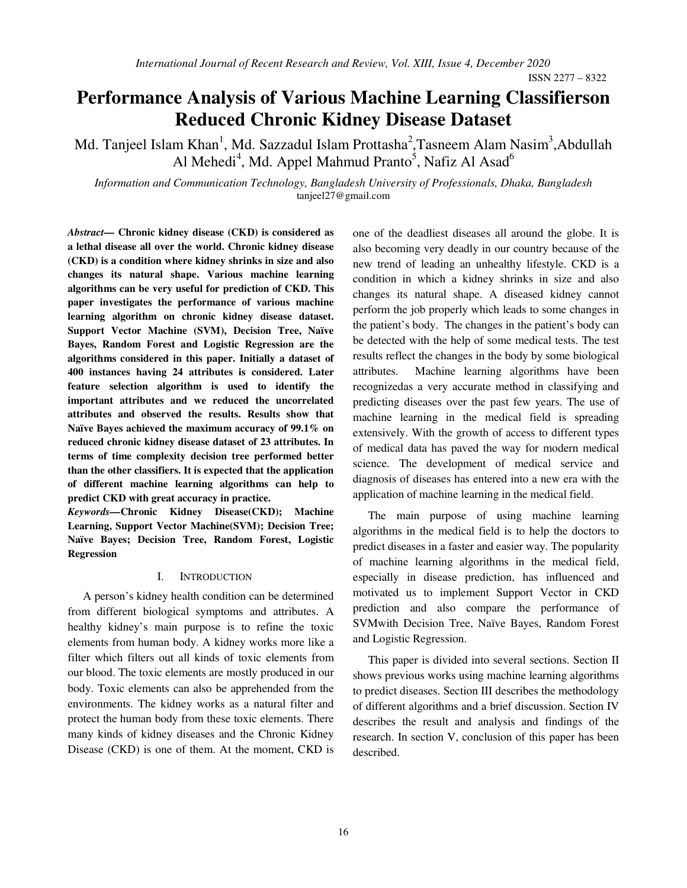ISSN 2277 – 8322

# **Performance Analysis of Various Machine Learning Classifierson Reduced Chronic Kidney Disease Dataset**

Md. Tanjeel Islam Khan<sup>1</sup>, Md. Sazzadul Islam Prottasha<sup>2</sup>, Tasneem Alam Nasim<sup>3</sup>, Abdullah Al Mehedi<sup>4</sup>, Md. Appel Mahmud Pranto<sup>5</sup>, Nafiz Al Asad<sup>6</sup>

*Information and Communication Technology, Bangladesh University of Professionals, Dhaka, Bangladesh* tanjeel27@gmail.com

*Abstract***— Chronic kidney disease (CKD) is considered as a lethal disease all over the world. Chronic kidney disease (CKD) is a condition where kidney shrinks in size and also changes its natural shape. Various machine learning algorithms can be very useful for prediction of CKD. This paper investigates the performance of various machine learning algorithm on chronic kidney disease dataset. Support Vector Machine (SVM), Decision Tree, Naïve Bayes, Random Forest and Logistic Regression are the algorithms considered in this paper. Initially a dataset of 400 instances having 24 attributes is considered. Later feature selection algorithm is used to identify the important attributes and we reduced the uncorrelated attributes and observed the results. Results show that Naïve Bayes achieved the maximum accuracy of 99.1% on reduced chronic kidney disease dataset of 23 attributes. In terms of time complexity decision tree performed better than the other classifiers. It is expected that the application of different machine learning algorithms can help to predict CKD with great accuracy in practice.**  *Keywords—***Chronic Kidney Disease(CKD); Machine** 

**Learning, Support Vector Machine(SVM); Decision Tree; Naïve Bayes; Decision Tree, Random Forest, Logistic Regression**

#### I. INTRODUCTION

A person's kidney health condition can be determined from different biological symptoms and attributes. A healthy kidney's main purpose is to refine the toxic elements from human body. A kidney works more like a filter which filters out all kinds of toxic elements from our blood. The toxic elements are mostly produced in our body. Toxic elements can also be apprehended from the environments. The kidney works as a natural filter and protect the human body from these toxic elements. There many kinds of kidney diseases and the Chronic Kidney Disease (CKD) is one of them. At the moment, CKD is one of the deadliest diseases all around the globe. It is also becoming very deadly in our country because of the new trend of leading an unhealthy lifestyle. CKD is a condition in which a kidney shrinks in size and also changes its natural shape. A diseased kidney cannot perform the job properly which leads to some changes in the patient's body. The changes in the patient's body can be detected with the help of some medical tests. The test results reflect the changes in the body by some biological attributes. Machine learning algorithms have been recognizedas a very accurate method in classifying and predicting diseases over the past few years. The use of machine learning in the medical field is spreading extensively. With the growth of access to different types of medical data has paved the way for modern medical science. The development of medical service and diagnosis of diseases has entered into a new era with the application of machine learning in the medical field.

The main purpose of using machine learning algorithms in the medical field is to help the doctors to predict diseases in a faster and easier way. The popularity of machine learning algorithms in the medical field, especially in disease prediction, has influenced and motivated us to implement Support Vector in CKD prediction and also compare the performance of SVMwith Decision Tree, Naïve Bayes, Random Forest and Logistic Regression.

This paper is divided into several sections. Section II shows previous works using machine learning algorithms to predict diseases. Section III describes the methodology of different algorithms and a brief discussion. Section IV describes the result and analysis and findings of the research. In section V, conclusion of this paper has been described.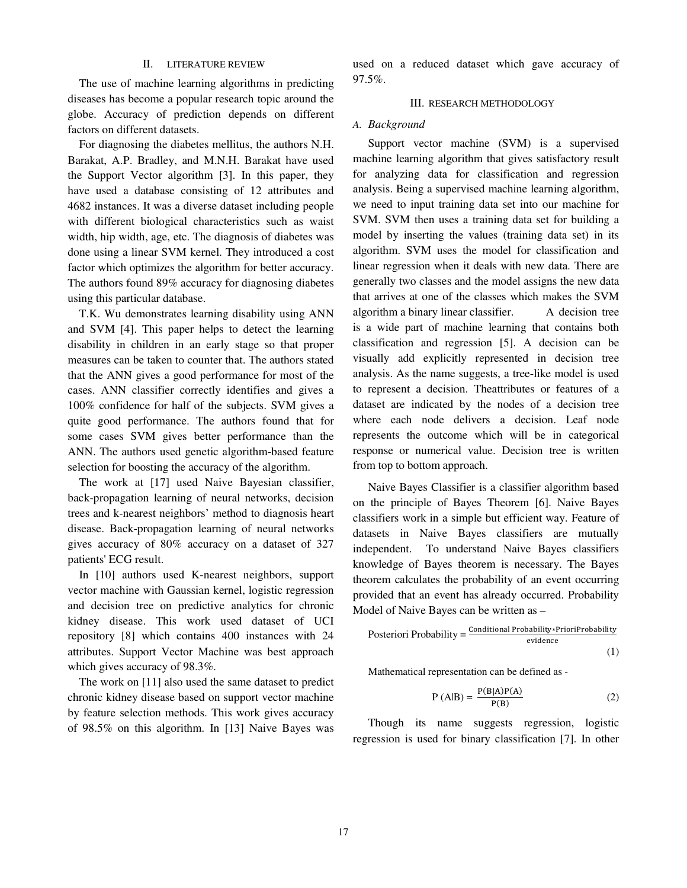## II. LITERATURE REVIEW

The use of machine learning algorithms in predicting diseases has become a popular research topic around the globe. Accuracy of prediction depends on different factors on different datasets.

For diagnosing the diabetes mellitus, the authors N.H. Barakat, A.P. Bradley, and M.N.H. Barakat have used the Support Vector algorithm [3]. In this paper, they have used a database consisting of 12 attributes and 4682 instances. It was a diverse dataset including people with different biological characteristics such as waist width, hip width, age, etc. The diagnosis of diabetes was done using a linear SVM kernel. They introduced a cost factor which optimizes the algorithm for better accuracy. The authors found 89% accuracy for diagnosing diabetes using this particular database.

T.K. Wu demonstrates learning disability using ANN and SVM [4]. This paper helps to detect the learning disability in children in an early stage so that proper measures can be taken to counter that. The authors stated that the ANN gives a good performance for most of the cases. ANN classifier correctly identifies and gives a 100% confidence for half of the subjects. SVM gives a quite good performance. The authors found that for some cases SVM gives better performance than the ANN. The authors used genetic algorithm-based feature selection for boosting the accuracy of the algorithm.

The work at [17] used Naive Bayesian classifier, back-propagation learning of neural networks, decision trees and k-nearest neighbors' method to diagnosis heart disease. Back-propagation learning of neural networks gives accuracy of 80% accuracy on a dataset of 327 patients' ECG result.

In [10] authors used K-nearest neighbors, support vector machine with Gaussian kernel, logistic regression and decision tree on predictive analytics for chronic kidney disease. This work used dataset of UCI repository [8] which contains 400 instances with 24 attributes. Support Vector Machine was best approach which gives accuracy of 98.3%.

The work on [11] also used the same dataset to predict chronic kidney disease based on support vector machine by feature selection methods. This work gives accuracy of 98.5% on this algorithm. In [13] Naive Bayes was used on a reduced dataset which gave accuracy of 97.5%.

#### III. RESEARCH METHODOLOGY

#### *A. Background*

Support vector machine (SVM) is a supervised machine learning algorithm that gives satisfactory result for analyzing data for classification and regression analysis. Being a supervised machine learning algorithm, we need to input training data set into our machine for SVM. SVM then uses a training data set for building a model by inserting the values (training data set) in its algorithm. SVM uses the model for classification and linear regression when it deals with new data. There are generally two classes and the model assigns the new data that arrives at one of the classes which makes the SVM algorithm a binary linear classifier. A decision tree is a wide part of machine learning that contains both classification and regression [5]. A decision can be visually add explicitly represented in decision tree analysis. As the name suggests, a tree-like model is used to represent a decision. Theattributes or features of a dataset are indicated by the nodes of a decision tree where each node delivers a decision. Leaf node represents the outcome which will be in categorical response or numerical value. Decision tree is written from top to bottom approach.

 Naive Bayes Classifier is a classifier algorithm based on the principle of Bayes Theorem [6]. Naive Bayes classifiers work in a simple but efficient way. Feature of datasets in Naive Bayes classifiers are mutually independent. To understand Naive Bayes classifiers knowledge of Bayes theorem is necessary. The Bayes theorem calculates the probability of an event occurring provided that an event has already occurred. Probability Model of Naive Bayes can be written as –

Posteriori Probability = 
$$
\frac{\text{Conditional Probability}*\text{PrioriProbability}}{\text{evidence}}
$$
 (1)

Mathematical representation can be defined as -

$$
P (A|B) = \frac{P(B|A)P(A)}{P(B)}
$$
 (2)

Though its name suggests regression, logistic regression is used for binary classification [7]. In other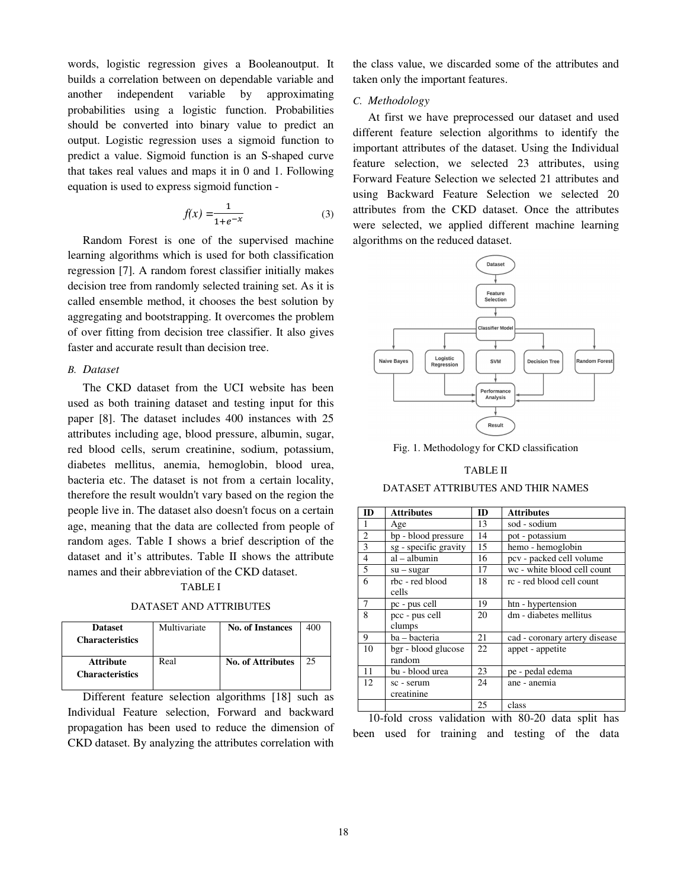words, logistic regression gives a Booleanoutput. It builds a correlation between on dependable variable and another independent variable by approximating probabilities using a logistic function. Probabilities should be converted into binary value to predict an output. Logistic regression uses a sigmoid function to predict a value. Sigmoid function is an S-shaped curve that takes real values and maps it in 0 and 1. Following equation is used to express sigmoid function -

$$
f(x) = \frac{1}{1 + e^{-x}}\tag{3}
$$

Random Forest is one of the supervised machine learning algorithms which is used for both classification regression [7]. A random forest classifier initially makes decision tree from randomly selected training set. As it is called ensemble method, it chooses the best solution by aggregating and bootstrapping. It overcomes the problem of over fitting from decision tree classifier. It also gives faster and accurate result than decision tree.

## *B. Dataset*

The CKD dataset from the UCI website has been used as both training dataset and testing input for this paper [8]. The dataset includes 400 instances with 25 attributes including age, blood pressure, albumin, sugar, red blood cells, serum creatinine, sodium, potassium, diabetes mellitus, anemia, hemoglobin, blood urea, bacteria etc. The dataset is not from a certain locality, therefore the result wouldn't vary based on the region the people live in. The dataset also doesn't focus on a certain age, meaning that the data are collected from people of random ages. Table I shows a brief description of the dataset and it's attributes. Table II shows the attribute names and their abbreviation of the CKD dataset.

TABLE I

|  |  |  |  |  | DATASET AND ATTRIBUTES |
|--|--|--|--|--|------------------------|
|--|--|--|--|--|------------------------|

| <b>Dataset</b><br><b>Characteristics</b>   | Multivariate | <b>No. of Instances</b>  | 400 |
|--------------------------------------------|--------------|--------------------------|-----|
| <b>Attribute</b><br><b>Characteristics</b> | Real         | <b>No. of Attributes</b> | 25  |

Different feature selection algorithms [18] such as Individual Feature selection, Forward and backward propagation has been used to reduce the dimension of CKD dataset. By analyzing the attributes correlation with

the class value, we discarded some of the attributes and taken only the important features.

### *C. Methodology*

At first we have preprocessed our dataset and used different feature selection algorithms to identify the important attributes of the dataset. Using the Individual feature selection, we selected 23 attributes, using Forward Feature Selection we selected 21 attributes and using Backward Feature Selection we selected 20 attributes from the CKD dataset. Once the attributes were selected, we applied different machine learning algorithms on the reduced dataset.



Fig. 1. Methodology for CKD classification

## TABLE II

## DATASET ATTRIBUTES AND THIR NAMES

| ID                      | <b>Attributes</b>             | <b>ID</b> | <b>Attributes</b>             |
|-------------------------|-------------------------------|-----------|-------------------------------|
| $\mathbf{1}$            | Age                           | 13        | sod - sodium                  |
| $\overline{c}$          | bp - blood pressure           | 14        | pot - potassium               |
| $\overline{\mathbf{3}}$ | sg - specific gravity         | 15        | hemo - hemoglobin             |
| $\overline{4}$          | al - albumin                  | 16        | pcv - packed cell volume      |
| 5                       | $su - sugar$                  | 17        | wc - white blood cell count   |
| 6                       | rbc - red blood<br>cells      | 18        | rc - red blood cell count     |
| 7                       | pc - pus cell                 | 19        | htn - hypertension            |
| 8                       | pcc - pus cell<br>clumps      | 20        | dm - diabetes mellitus        |
| 9                       | ba - bacteria                 | 21        | cad - coronary artery disease |
| 10                      | bgr - blood glucose<br>random | 22        | appet - appetite              |
| 11                      | bu - blood urea               | 23        | pe - pedal edema              |
| 12                      | sc - serum<br>creatinine      | 24        | ane - anemia                  |
|                         |                               | 25        | class                         |

10-fold cross validation with 80-20 data split has been used for training and testing of the data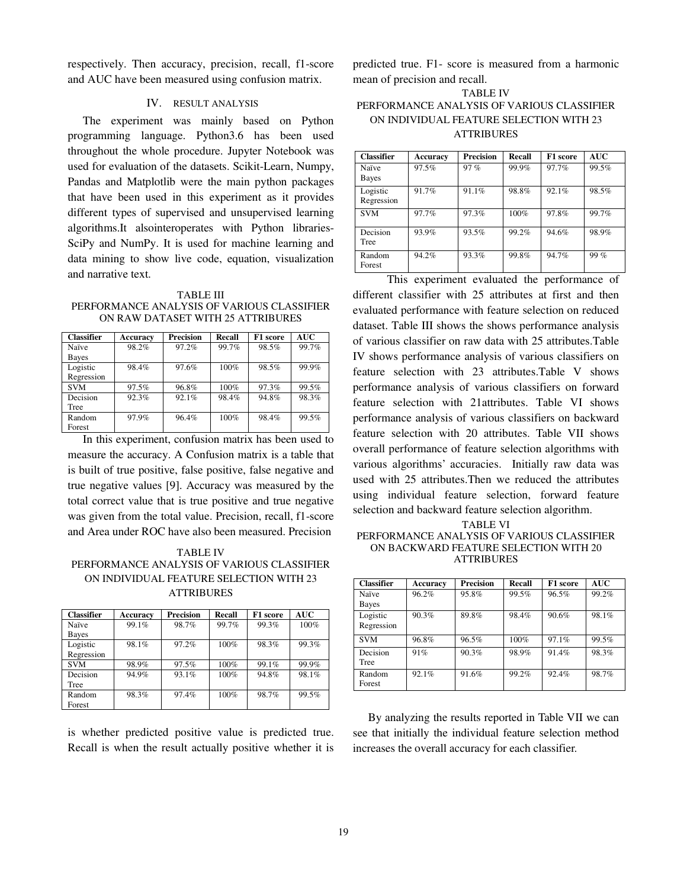respectively. Then accuracy, precision, recall, f1-score and AUC have been measured using confusion matrix.

#### IV. RESULT ANALYSIS

The experiment was mainly based on Python programming language. Python3.6 has been used throughout the whole procedure. Jupyter Notebook was used for evaluation of the datasets. Scikit-Learn, Numpy, Pandas and Matplotlib were the main python packages that have been used in this experiment as it provides different types of supervised and unsupervised learning algorithms.It alsointeroperates with Python libraries-SciPy and NumPy. It is used for machine learning and data mining to show live code, equation, visualization and narrative text.

TABLE III PERFORMANCE ANALYSIS OF VARIOUS CLASSIFIER ON RAW DATASET WITH 25 ATTRIBURES

| <b>Classifier</b> | Accuracy | <b>Precision</b> | Recall | F1 score | <b>AUC</b> |
|-------------------|----------|------------------|--------|----------|------------|
| Naïve             | 98.2%    | 97.2%            | 99.7%  | 98.5%    | 99.7%      |
| Bayes             |          |                  |        |          |            |
| Logistic          | 98.4%    | 97.6%            | 100%   | 98.5%    | 99.9%      |
| Regression        |          |                  |        |          |            |
| <b>SVM</b>        | 97.5%    | 96.8%            | 100%   | 97.3%    | 99.5%      |
| Decision          | 92.3%    | 92.1%            | 98.4%  | 94.8%    | 98.3%      |
| Tree              |          |                  |        |          |            |
| Random            | 97.9%    | 96.4%            | 100%   | 98.4%    | 99.5%      |
| Forest            |          |                  |        |          |            |

In this experiment, confusion matrix has been used to measure the accuracy. A Confusion matrix is a table that is built of true positive, false positive, false negative and true negative values [9]. Accuracy was measured by the total correct value that is true positive and true negative was given from the total value. Precision, recall, f1-score and Area under ROC have also been measured. Precision

## TABLE IV PERFORMANCE ANALYSIS OF VARIOUS CLASSIFIER ON INDIVIDUAL FEATURE SELECTION WITH 23 ATTRIBURES

| <b>Classifier</b> | Accuracy | <b>Precision</b> | Recall | F1 score | <b>AUC</b> |
|-------------------|----------|------------------|--------|----------|------------|
| Naïve             | 99.1%    | 98.7%            | 99.7%  | 99.3%    | $100\%$    |
| Bayes             |          |                  |        |          |            |
| Logistic          | 98.1%    | 97.2%            | 100%   | 98.3%    | 99.3%      |
| Regression        |          |                  |        |          |            |
| <b>SVM</b>        | 98.9%    | 97.5%            | 100%   | 99.1%    | 99.9%      |
| Decision          | 94.9%    | 93.1%            | 100%   | 94.8%    | 98.1%      |
| Tree              |          |                  |        |          |            |
| Random            | 98.3%    | 97.4%            | 100%   | 98.7%    | 99.5%      |
| Forest            |          |                  |        |          |            |

is whether predicted positive value is predicted true. Recall is when the result actually positive whether it is predicted true. F1- score is measured from a harmonic mean of precision and recall.

# TABLE IV PERFORMANCE ANALYSIS OF VARIOUS CLASSIFIER ON INDIVIDUAL FEATURE SELECTION WITH 23 ATTRIBURES

| <b>Classifier</b>      | Accuracy | <b>Precision</b> | Recall | F1 score | <b>AUC</b> |
|------------------------|----------|------------------|--------|----------|------------|
| Naïve<br>Bayes         | 97.5%    | 97%              | 99.9%  | 97.7%    | 99.5%      |
| Logistic<br>Regression | 91.7%    | 91.1%            | 98.8%  | 92.1%    | 98.5%      |
| <b>SVM</b>             | 97.7%    | 97.3%            | 100%   | 97.8%    | 99.7%      |
| Decision<br>Tree       | 93.9%    | 93.5%            | 99.2%  | 94.6%    | 98.9%      |
| Random<br>Forest       | 94.2%    | 93.3%            | 99.8%  | 94.7%    | $99\%$     |

This experiment evaluated the performance of different classifier with 25 attributes at first and then evaluated performance with feature selection on reduced dataset. Table III shows the shows performance analysis of various classifier on raw data with 25 attributes.Table IV shows performance analysis of various classifiers on feature selection with 23 attributes.Table V shows performance analysis of various classifiers on forward feature selection with 21attributes. Table VI shows performance analysis of various classifiers on backward feature selection with 20 attributes. Table VII shows overall performance of feature selection algorithms with various algorithms' accuracies. Initially raw data was used with 25 attributes.Then we reduced the attributes using individual feature selection, forward feature selection and backward feature selection algorithm.

#### TABLE VI PERFORMANCE ANALYSIS OF VARIOUS CLASSIFIER ON BACKWARD FEATURE SELECTION WITH 20 ATTRIBURES

| <b>Classifier</b> | Accuracy | <b>Precision</b> | Recall  | F1 score | <b>AUC</b> |
|-------------------|----------|------------------|---------|----------|------------|
| Naïve             | 96.2%    | 95.8%            | 99.5%   | 96.5%    | 99.2%      |
| Bayes             |          |                  |         |          |            |
| Logistic          | 90.3%    | 89.8%            | 98.4%   | 90.6%    | 98.1%      |
| Regression        |          |                  |         |          |            |
| <b>SVM</b>        | 96.8%    | 96.5%            | $100\%$ | 97.1%    | 99.5%      |
| Decision          | 91%      | 90.3%            | 98.9%   | 91.4%    | 98.3%      |
| Tree              |          |                  |         |          |            |
| Random            | 92.1%    | 91.6%            | 99.2%   | 92.4%    | 98.7%      |
| Forest            |          |                  |         |          |            |

By analyzing the results reported in Table VII we can see that initially the individual feature selection method increases the overall accuracy for each classifier.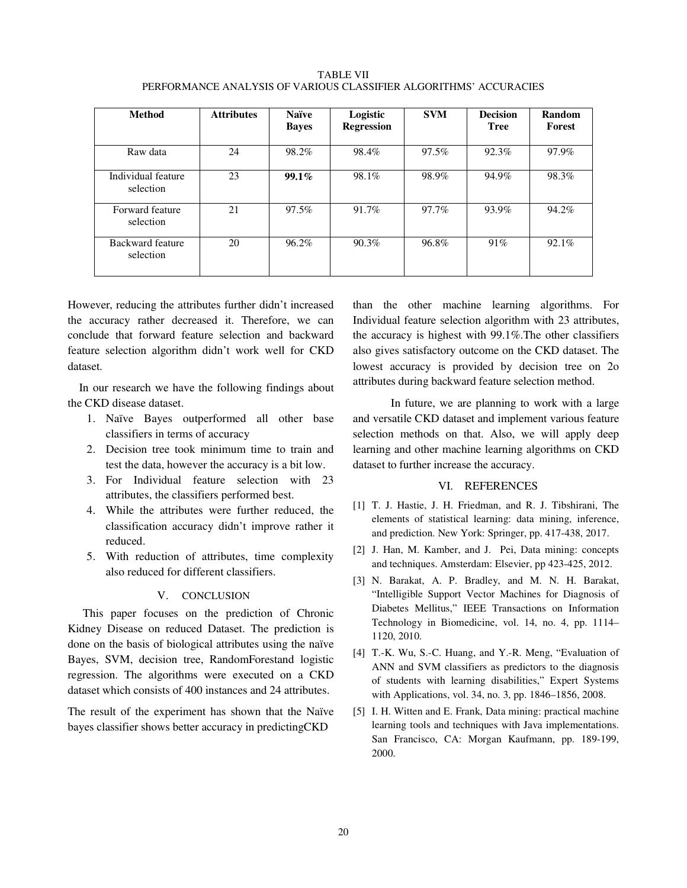TABLE VII PERFORMANCE ANALYSIS OF VARIOUS CLASSIFIER ALGORITHMS' ACCURACIES

| <b>Method</b>                   | <b>Attributes</b> | <b>Naïve</b><br><b>Baves</b> | Logistic<br><b>Regression</b> | <b>SVM</b> | <b>Decision</b><br><b>Tree</b> | Random<br>Forest |
|---------------------------------|-------------------|------------------------------|-------------------------------|------------|--------------------------------|------------------|
| Raw data                        | 24                | 98.2%                        | 98.4%                         | 97.5%      | 92.3%                          | 97.9%            |
| Individual feature<br>selection | 23                | $99.1\%$                     | 98.1%                         | 98.9%      | 94.9%                          | 98.3%            |
| Forward feature<br>selection    | 21                | 97.5%                        | 91.7%                         | 97.7%      | 93.9%                          | 94.2%            |
| Backward feature<br>selection   | 20                | 96.2%                        | 90.3%                         | 96.8%      | 91%                            | 92.1%            |

However, reducing the attributes further didn't increased the accuracy rather decreased it. Therefore, we can conclude that forward feature selection and backward feature selection algorithm didn't work well for CKD dataset.

In our research we have the following findings about the CKD disease dataset.

- 1. Naïve Bayes outperformed all other base classifiers in terms of accuracy
- 2. Decision tree took minimum time to train and test the data, however the accuracy is a bit low.
- 3. For Individual feature selection with 23 attributes, the classifiers performed best.
- 4. While the attributes were further reduced, the classification accuracy didn't improve rather it reduced.
- 5. With reduction of attributes, time complexity also reduced for different classifiers.

## V. CONCLUSION

This paper focuses on the prediction of Chronic Kidney Disease on reduced Dataset. The prediction is done on the basis of biological attributes using the naïve Bayes, SVM, decision tree, RandomForestand logistic regression. The algorithms were executed on a CKD dataset which consists of 400 instances and 24 attributes.

The result of the experiment has shown that the Naïve bayes classifier shows better accuracy in predictingCKD

than the other machine learning algorithms. For Individual feature selection algorithm with 23 attributes, the accuracy is highest with 99.1%.The other classifiers also gives satisfactory outcome on the CKD dataset. The lowest accuracy is provided by decision tree on 2o attributes during backward feature selection method.

 In future, we are planning to work with a large and versatile CKD dataset and implement various feature selection methods on that. Also, we will apply deep learning and other machine learning algorithms on CKD dataset to further increase the accuracy.

#### VI. REFERENCES

- [1] T. J. Hastie, J. H. Friedman, and R. J. Tibshirani, The elements of statistical learning: data mining, inference, and prediction. New York: Springer, pp. 417-438, 2017.
- [2] J. Han, M. Kamber, and J. Pei, Data mining: concepts and techniques. Amsterdam: Elsevier, pp 423-425, 2012.
- [3] N. Barakat, A. P. Bradley, and M. N. H. Barakat, "Intelligible Support Vector Machines for Diagnosis of Diabetes Mellitus," IEEE Transactions on Information Technology in Biomedicine, vol. 14, no. 4, pp. 1114– 1120, 2010.
- [4] T.-K. Wu, S.-C. Huang, and Y.-R. Meng, "Evaluation of ANN and SVM classifiers as predictors to the diagnosis of students with learning disabilities," Expert Systems with Applications, vol. 34, no. 3, pp. 1846–1856, 2008.
- [5] I. H. Witten and E. Frank, Data mining: practical machine learning tools and techniques with Java implementations. San Francisco, CA: Morgan Kaufmann, pp. 189-199, 2000.